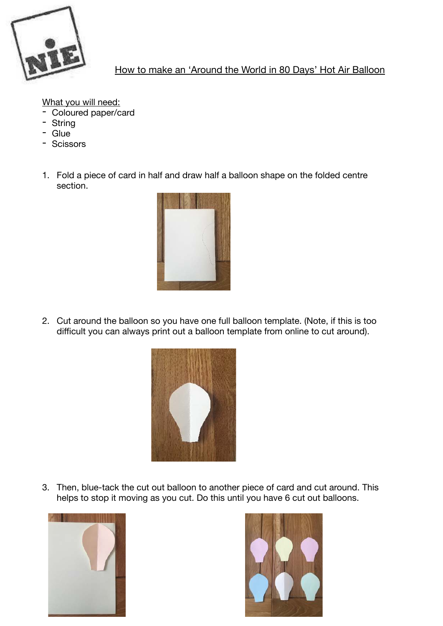

## How to make an 'Around the World in 80 Days' Hot Air Balloon

What you will need:

- Coloured paper/card
- String
- Glue
- Scissors
- 1. Fold a piece of card in half and draw half a balloon shape on the folded centre section.



2. Cut around the balloon so you have one full balloon template. (Note, if this is too difficult you can always print out a balloon template from online to cut around).



3. Then, blue-tack the cut out balloon to another piece of card and cut around. This helps to stop it moving as you cut. Do this until you have 6 cut out balloons.



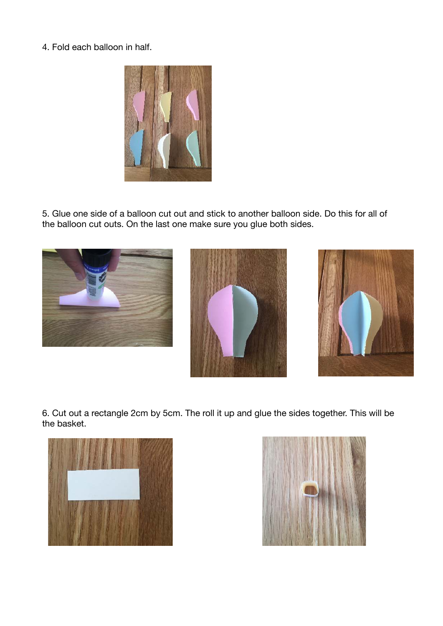4. Fold each balloon in half.



5. Glue one side of a balloon cut out and stick to another balloon side. Do this for all of the balloon cut outs. On the last one make sure you glue both sides.



6. Cut out a rectangle 2cm by 5cm. The roll it up and glue the sides together. This will be the basket.